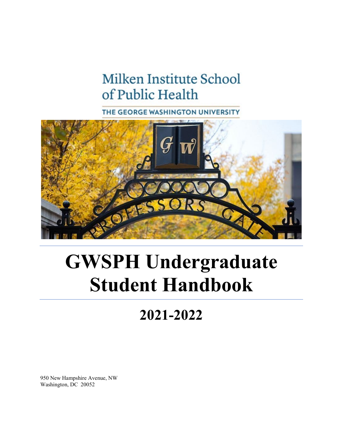# Milken Institute School of Public Health

THE GEORGE WASHINGTON UNIVERSITY



# **GWSPH Undergraduate Student Handbook**

# **2021-2022**

950 New Hampshire Avenue, NW Washington, DC 20052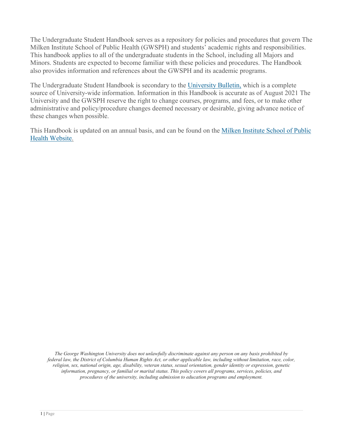The Undergraduate Student Handbook serves as a repository for policies and procedures that govern The Milken Institute School of Public Health (GWSPH) and students' academic rights and responsibilities. This handbook applies to all of the undergraduate students in the School, including all Majors and Minors. Students are expected to become familiar with these policies and procedures. The Handbook also provides information and references about the GWSPH and its academic programs.

The Undergraduate Student Handbook is secondary to the [University](http://bulletin.gwu.edu/) Bulletin, which is a complete source of University-wide information. Information in this Handbook is accurate as of August 2021 The University and the GWSPH reserve the right to change courses, programs, and fees, or to make other administrative and policy/procedure changes deemed necessary or desirable, giving advance notice of these changes when possible.

This Handbook is updated on an annual basis, and can be found on the [Milken Institute School of Public](http://publichealth.gwu.edu/)  [Health Website.](http://publichealth.gwu.edu/)

*The George Washington University does not unlawfully discriminate against any person on any basis prohibited by federal law, the District of Columbia Human Rights Act, or other applicable law, including without limitation, race, color, religion, sex, national origin, age, disability, veteran status, sexual orientation, gender identity or expression, genetic information, pregnancy, or familial or marital status. This policy covers all programs, services, policies, and procedures of the university, including admission to education programs and employment.*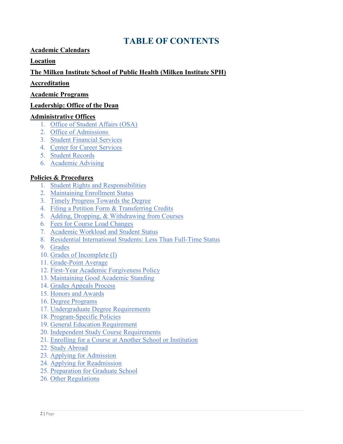## **TABLE OF CONTENTS**

#### **[Academic Calendars](#page-4-0)**

#### **[Location](#page-4-1)**

**[The Milken Institute School of Public Health \(Milken Institute SPH\)](#page-4-2)**

#### **[Accreditation](#page-6-0)**

#### **Academic Programs**

#### **[Leadership: Office of the Dean](#page-6-1)**

#### **[Administrative Offices](#page-7-0)**

- 1. [Office of Student Affairs \(OSA\)](#page-7-1)
- 2. [Office of Admissions](#page-7-2)
- 3. [Student Financial Services](#page-9-0)
- 4. [Center for Career Services](#page-9-1)
- 5. [Student Records](#page-9-2)
- 6. [Academic Advising](#page-10-0)

#### **[Policies & Procedures](#page-11-0)**

- 1. [Student Rights and Responsibilities](#page-11-1)
- 2. [Maintaining Enrollment Status](#page-11-2)
- 3. [Timely Progress Towards the Degree](#page-12-0)
- 4. [Filing a Petition Form & Transferring Credits](#page-12-1)
- 5. [Adding, Dropping, & Withdrawing from Courses](#page-14-0)
- 6. Fees for Course Load Changes
- 7. [Academic Workload and Student Status](#page-15-0)
- 8. [Residential International Students: Less Than Full-Time Status](#page-16-0)
- 9. [Grades](#page-16-1)
- 10. [Grades of Incomplete \(I\)](#page-17-0)
- 11. [Grade-Point Average](#page-17-1)
- 12. [First-Year Academic Forgiveness Policy](#page-17-2)
- 13. [Maintaining Good Academic Standing](#page-18-0)
- 14. [Grades Appeals Process](#page-18-1)
- 15. [Honors and Awards](#page-19-0)
- 16. [Degree Programs](#page-20-0)
- 17. [Undergraduate Degree Requirements](#page-21-0)
- 18. [Program-Specific Policies](#page-21-1)
- 19. [General Education Requirement](#page-25-0)
- 20. [Independent Study Course Requirements](#page-25-1)
- 21. [Enrolling for a Course at Another School or Institution](#page-26-0)
- 22. [Study Abroad](#page-26-1)
- 23. [Applying for Admission](#page-27-0)
- 24. [Applying for Readmission](#page-29-0)
- 25. [Preparation for Graduate School](#page-29-1)
- 26. [Other Regulations](#page-30-0)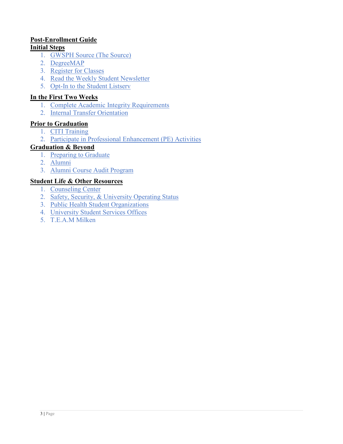#### **[Post-Enrollment Guide](#page-30-1)**

#### **[Initial Steps](#page-30-2)**

- 1. [GWSPH Source \(The Source\)](#page-30-3)
- 2. [DegreeMAP](https://publichealth.gwu.edu/content/undergraduate-student-handbook#DegreeMap)
- 3. [Register for Classes](#page-31-0)
- 4. [Read the Weekly Student Newsletter](#page-31-1)
- 5. [Opt-In to the Student Listserv](#page-31-2)

#### **[In the First Two Weeks](#page-31-3)**

- 1. [Complete Academic Integrity Requirements](#page-31-4)
- 2. [Internal Transfer Orientation](#page-32-0)

#### **[Prior to Graduation](#page-32-1)**

- 1. [CITI Training](#page-32-2)
- 2. [Participate in Professional Enhancement \(PE\) Activities](#page-32-3)

#### **[Graduation & Beyond](#page-33-0)**

- 1. [Preparing to Graduate](#page-33-1)
- 2. [Alumni](#page-33-2)
- 3. [Alumni Course Audit Program](#page-34-0)

#### **[Student Life & Other Resources](#page-34-1)**

- 1. [Counseling Center](#page-34-2)
- 2. [Safety, Security, & University Operating Status](#page-34-3)
- 3. [Public Health Student Organizations](#page-34-4)
- 4. University Student Services Offices
- 5. T.E.A.M Milken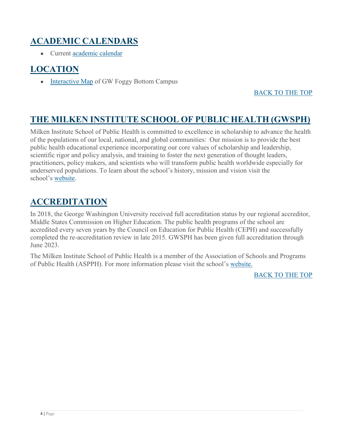# <span id="page-4-0"></span>**ACADEMIC CALENDARS**

● Current [academic calendar](http://www.gwu.edu/academic-calendar)

### <span id="page-4-1"></span>**LOCATION**

• [Interactive Map](http://virtualtour.gwu.edu/#!UMAP_2013090592962) of GW Foggy Bottom Campus

#### BACK TO THE TOP

### <span id="page-4-2"></span>**THE MILKEN INSTITUTE SCHOOL OF PUBLIC HEALTH (GWSPH)**

Milken Institute School of Public Health is committed to excellence in scholarship to advance the health of the populations of our local, national, and global communities: Our mission is to provide the best public health educational experience incorporating our core values of scholarship and leadership, scientific rigor and policy analysis, and training to foster the next generation of thought leaders, practitioners, policy makers, and scientists who will transform public health worldwide especially for underserved populations. To learn about the school's history, mission and vision visit the school's [website.](http://publichealth.gwu.edu/)

### **ACCREDITATION**

In 2018, the George Washington University received full accreditation status by our regional accreditor, Middle States Commission on Higher Education. The public health programs of the school are accredited every seven years by the Council on Education for Public Health (CEPH) and successfully completed the re-accreditation review in late 2015. GWSPH has been given full accreditation through June 2023.

The Milken Institute School of Public Health is a member of the Association of Schools and Programs of Public Health (ASPPH). For more information please visit the school's [website.](http://publichealth.gwu.edu/)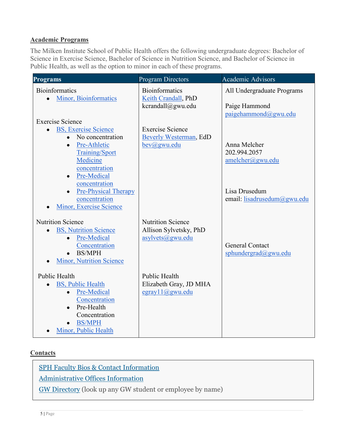#### **Academic Programs**

The Milken Institute School of Public Health offers the following undergraduate degrees: Bachelor of Science in Exercise Science, Bachelor of Science in Nutrition Science, and Bachelor of Science in Public Health, as well as the option to minor in each of these programs.

| <b>Programs</b>                                        | <b>Program Directors</b>                     | <b>Academic Advisors</b>              |
|--------------------------------------------------------|----------------------------------------------|---------------------------------------|
| <b>Bioinformatics</b><br><b>Minor</b> , Bioinformatics | <b>Bioinformatics</b><br>Keith Crandall, PhD | All Undergraduate Programs            |
|                                                        | kcrandall@gwu.edu                            | Paige Hammond<br>paigehammond@gwu.edu |
| <b>Exercise Science</b>                                |                                              |                                       |
| <b>BS, Exercise Science</b><br>$\bullet$               | <b>Exercise Science</b>                      |                                       |
| No concentration<br>$\bullet$                          | Beverly Westerman, EdD                       |                                       |
| Pre-Athletic<br>$\bullet$                              | $bev(a)$ gwu.edu                             | Anna Melcher                          |
| <b>Training/Sport</b>                                  |                                              | 202.994.2057                          |
| Medicine<br>concentration                              |                                              | amelcher@gwu.edu                      |
| Pre-Medical<br>$\bullet$                               |                                              |                                       |
| concentration                                          |                                              |                                       |
| <b>Pre-Physical Therapy</b>                            |                                              | Lisa Drusedum                         |
| concentration                                          |                                              | email: lisadrusedum@gwu.edu           |
| Minor, Exercise Science                                |                                              |                                       |
| <b>Nutrition Science</b>                               | <b>Nutrition Science</b>                     |                                       |
| <b>BS, Nutrition Science</b>                           | Allison Sylvetsky, PhD                       |                                       |
| Pre-Medical<br>$\bullet$                               | asylvets@gwu.edu                             |                                       |
| Concentration                                          |                                              | <b>General Contact</b>                |
| <b>BS/MPH</b><br>$\bullet$                             |                                              | sphundergrad@gwu.edu                  |
| <b>Minor, Nutrition Science</b>                        |                                              |                                       |
| Public Health                                          | Public Health                                |                                       |
| <b>BS, Public Health</b>                               | Elizabeth Gray, JD MHA                       |                                       |
| Pre-Medical<br>$\bullet$                               | egray11@gwu.edu                              |                                       |
| Concentration                                          |                                              |                                       |
| Pre-Health<br>$\bullet$                                |                                              |                                       |
| Concentration                                          |                                              |                                       |
| <b>BS/MPH</b>                                          |                                              |                                       |
| Minor, Public Health                                   |                                              |                                       |

#### **Contacts**

[SPH Faculty Bios & Contact Information](http://publichealth.gwu.edu/content/faculty-directory)

[Administrative Offices Information](http://publichealth.gwu.edu/about/administrative-offices)

[GW Directory](http://my.gwu.edu/) (look up any GW student or employee by name)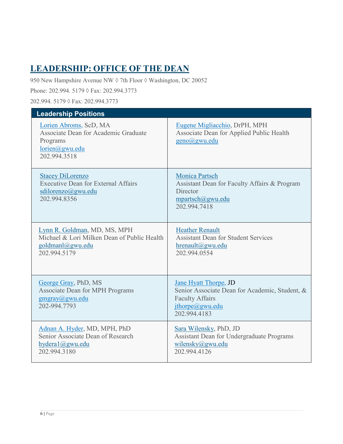# <span id="page-6-1"></span><span id="page-6-0"></span>**LEADERSHIP: OFFICE OF THE DEAN**

950 New Hampshire Avenue NW ♦ 7th Floor ♦ Washington, DC 20052

Phone: 202.994. 5179 ◊ Fax: 202.994.3773

202.994. 5179 ◊ Fax: 202.994.3773

| <b>Leadership Positions</b>                                                                                     |                                                                                                                                             |  |
|-----------------------------------------------------------------------------------------------------------------|---------------------------------------------------------------------------------------------------------------------------------------------|--|
| Lorien Abroms, ScD, MA<br>Associate Dean for Academic Graduate<br>Programs<br>lorien@gwu.edu<br>202.994.3518    | Eugene Migliacchio, DrPH, MPH<br>Associate Dean for Applied Public Health<br>geno@gwu.edu                                                   |  |
| <b>Stacey DiLorenzo</b><br><b>Executive Dean for External Affairs</b><br>sdilorenzo@gwu.edu<br>202.994.8356     | <b>Monica Partsch</b><br>Assistant Dean for Faculty Affairs & Program<br>Director<br>mpartsch@gwu.edu<br>202.994.7418                       |  |
| Lynn R. Goldman, MD, MS, MPH<br>Michael & Lori Milken Dean of Public Health<br>goldmanl@gwu.edu<br>202.994.5179 | <b>Heather Renault</b><br><b>Assistant Dean for Student Services</b><br>hrenault@gwu.edu<br>202.994.0554                                    |  |
| George Gray, PhD, MS<br><b>Associate Dean for MPH Programs</b><br>gmgray@gwu.edu<br>202-994.7793                | <b>Jane Hyatt Thorpe, JD</b><br>Senior Associate Dean for Academic, Student, &<br><b>Faculty Affairs</b><br>jthorpe@gwu.edu<br>202.994.4183 |  |
| Adnan A. Hyder, MD, MPH, PhD<br>Senior Associate Dean of Research<br>hydera1@gwu.edu<br>202.994.3180            | Sara Wilensky, PhD, JD<br>Assistant Dean for Undergraduate Programs<br>wilensky@gwu.edu<br>202.994.4126                                     |  |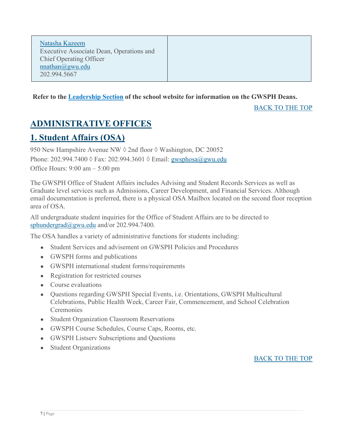[Natasha Kazeem](https://publichealth.gwu.edu/departments/office-dean/natasha-kazeem) Executive Associate Dean, Operations and Chief Operating Officer [nnathan@gwu.edu](mailto:nnathan@gwu.edu) 202.994.5667

#### **Refer to the [Leadership](https://publichealth.gwu.edu/about/leadership) Section of the school website for information on the GWSPH Deans.**

BACK TO THE TOP

# <span id="page-7-0"></span>**ADMINISTRATIVE OFFICES**

### <span id="page-7-1"></span>**1. Student Affairs (OSA)**

950 New Hampshire Avenue NW ♦ 2nd floor ♦ Washington, DC 20052 Phone: 202.994.7400 ◊ Fax: 202.994.3601 ◊ Email: [gwsphosa@gwu.edu](about:blank) Office Hours: 9:00 am – 5:00 pm

The GWSPH Office of Student Affairs includes Advising and Student Records Services as well as Graduate level services such as Admissions, Career Development, and Financial Services. Although email documentation is preferred, there is a physical OSA Mailbox located on the second floor reception area of OSA.

All undergraduate student inquiries for the Office of Student Affairs are to be directed to [sphundergrad@gwu.edu](mailto:sphundergrad@gwu.edu) and/or 202.994.7400.

The OSA handles a variety of administrative functions for students including:

- Student Services and advisement on GWSPH Policies and Procedures
- GWSPH forms and publications
- GWSPH international student forms/requirements
- Registration for restricted courses
- Course evaluations
- Questions regarding GWSPH Special Events, i.e. Orientations, GWSPH Multicultural Celebrations, Public Health Week, Career Fair, Commencement, and School Celebration **Ceremonies**
- Student Organization Classroom Reservations
- GWSPH Course Schedules, Course Caps, Rooms, etc.
- GWSPH Listserv Subscriptions and Questions
- <span id="page-7-2"></span>• Student Organizations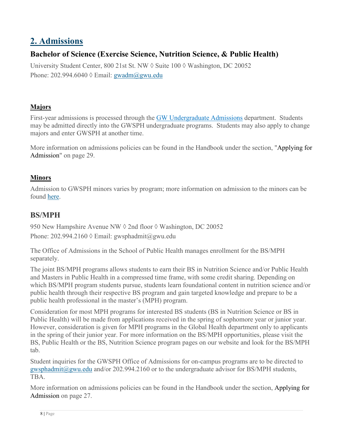## **2. Admissions**

### **Bachelor of Science (Exercise Science, Nutrition Science, & Public Health)**

University Student Center, 800 21st St. NW  $\Diamond$  Suite 100  $\Diamond$  Washington, DC 20052 Phone: 202.994.6040  $\Diamond$  Email: gwadm $\angle$ gwu.edu

#### **Majors**

First-year admissions is processed through the [GW Undergraduate Admissions](https://undergraduate.admissions.gwu.edu/) department. Students may be admitted directly into the GWSPH undergraduate programs. Students may also apply to change majors and enter GWSPH at another time.

More information on admissions policies can be found in the Handbook under the section, "Applying for Admission" on page 29.

#### **Minors**

Admission to GWSPH minors varies by program; more information on admission to the minors can be found [here.](https://publichealth.gwu.edu/programs/undergraduate-minors)

### **BS/MPH**

950 New Hampshire Avenue NW ♦ 2nd floor ♦ Washington, DC 20052 Phone: 202.994.2160 ◊ Email: gwsphadmit@gwu.edu

The Office of Admissions in the School of Public Health manages enrollment for the BS/MPH separately.

The joint BS/MPH programs allows students to earn their BS in Nutrition Science and/or Public Health and Masters in Public Health in a compressed time frame, with some credit sharing. Depending on which BS/MPH program students pursue, students learn foundational content in nutrition science and/or public health through their respective BS program and gain targeted knowledge and prepare to be a public health professional in the master's (MPH) program.

Consideration for most MPH programs for interested BS students (BS in Nutrition Science or BS in Public Health) will be made from applications received in the spring of sophomore year or junior year. However, consideration is given for MPH programs in the Global Health department only to applicants in the spring of their junior year. For more information on the BS/MPH opportunities, please visit the BS, Public Health or the BS, Nutrition Science program pages on our website and look for the BS/MPH tab.

Student inquiries for the GWSPH Office of Admissions for on-campus programs are to be directed to [gwsphadmit@gwu.edu](mailto:gwsphadmit@gwu.edu) and/or 202.994.2160 or to the undergraduate advisor for BS/MPH students, TBA.

More information on admissions policies can be found in the Handbook under the section, [Applying for](https://publichealth.gwu.edu/content/undergraduate-student-handbook#_TOC_Applying%20for%20Admission)  [Admission](https://publichealth.gwu.edu/content/undergraduate-student-handbook#_TOC_Applying%20for%20Admission) on page 27.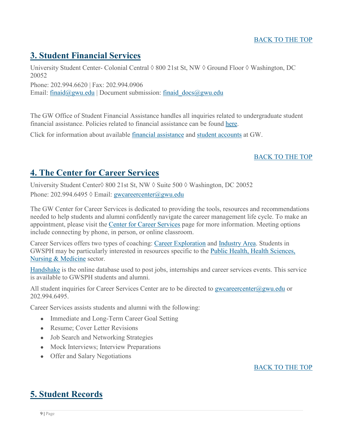#### <span id="page-9-0"></span>BACK TO THE TOP

# **3. Student Financial Services**

University Student Center- Colonial Central ◊ 800 21st St, NW ◊ Ground Floor ◊ Washington, DC 20052

Phone: 202.994.6620 | Fax: 202.994.0906

Email: [finaid@gwu.edu](mailto:finaid@gwu.edu) | Document submission: finaid  $\text{docs}(\textcircled{a}g$ wu.edu

The GW Office of Student Financial Assistance handles all inquiries related to undergraduate student financial assistance. Policies related to financial assistance can be found [here.](https://financialaid.gwu.edu/policies)

Click for information about available [financial assistance](https://financialaid.gwu.edu/) and [student accounts](http://studentaccounts.gwu.edu/) at GW.

#### BACK TO THE TOP

# <span id="page-9-1"></span>**4. The Center for Career Services**

University Student Center◊ 800 21st St, NW ◊ Suite 500 ◊ Washington, DC 20052 Phone: 202.994.6495  $\Diamond$  Email: [gwcareercenter@gwu.edu](mailto:gwcareercenter@gwu.edu)

The GW Center for Career Services is dedicated to providing the tools, resources and recommendations needed to help students and alumni confidently navigate the career management life cycle. To make an appointment, please visit the [C](http://publichealth.gwu.edu/services/career-center/counseling)[enter for Career Services](https://careerservices.gwu.edu/) page for more information. Meeting options include connecting by phone, in person, or online classroom.

Career Services offers two types of coaching: [Career Exploration](https://careerservices.gwu.edu/career-exploration-assessment) and [Industry Area.](https://careerservices.gwu.edu/industry-career-coaching) Students in GWSPH may be particularly interested in resources specific to the [Public Health, Health Sciences,](https://careerservices.gwu.edu/public-health-health-sciences-nursing-medicine-0)  [Nursing & Medicine](https://careerservices.gwu.edu/public-health-health-sciences-nursing-medicine-0) sector.

[Handshake](https://gwu.joinhandshake.com/) is the online database used to post jobs, internships and career services events. This service is available to GWSPH students and alumni.

All student inquiries for Career Services Center are to be directed to [gwcareercenter@gwu.edu](mailto:gwcareercenter@gwu.edu) or 202.994.6495.

Career Services assists students and alumni with the following:

- Immediate and Long-Term Career Goal Setting
- Resume: Cover Letter Revisions
- Job Search and Networking Strategies
- Mock Interviews; Interview Preparations
- Offer and Salary Negotiations

BACK TO THE TOP

### <span id="page-9-2"></span>**5. Student Records**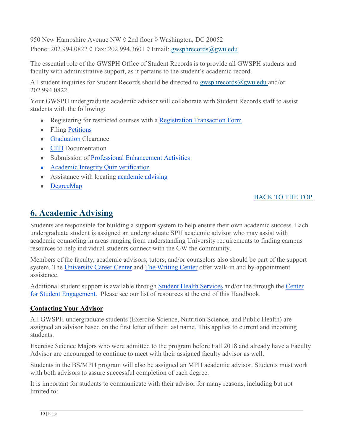950 New Hampshire Avenue NW ♦ 2nd floor ♦ Washington, DC 20052 Phone: 202.994.0822 ◊ Fax: 202.994.3601 ◊ Email: [gwsphrecords@gwu.edu](mailto:gwsphrecords@gwu.edu)

The essential role of the GWSPH Office of Student Records is to provide all GWSPH students and faculty with administrative support, as it pertains to the student's academic record.

All student inquiries for Student Records should be directed to gwsphrecords $@g$ wu.edu and/or 202.994.0822.

Your GWSPH undergraduate academic advisor will collaborate with Student Records staff to assist students with the following:

- Registering for restricted courses with a [Registration Transaction Form](https://registrar.gwu.edu/sites/g/files/zaxdzs2171/f/reg_transaction_form2019.pdf)
- Filing [Petitions](https://publichealth.gwu.edu/sites/default/files/Undergraduate%20Petition%20%281%29.pdf)
- [Graduation](https://publichealth.gwu.edu/academics/graduation) Clearance
- [CITI](https://humanresearch.gwu.edu/collaborative-irb-training-initiative-citi) Documentation
- Submission of [Professional Enhancement Activities](https://publichealth.gwu.edu/sites/default/files/downloads/Professional%20Enhancement%20Policy%20Form%20122018.pdf)
- [Academic Integrity Quiz verification](http://publichealth.gwu.edu/integrity-quiz)
- Assistance with locating [academic advising](https://publichealth.gwu.edu/academics/undergraduate-advising)
- [DegreeMap](https://registrar.gwu.edu/degreemap)

#### BACK TO THE TOP

# <span id="page-10-0"></span>**6. Academic Advising**

Students are responsible for building a support system to help ensure their own academic success. Each undergraduate student is assigned an undergraduate SPH academic advisor who may assist with academic counseling in areas ranging from understanding University requirements to finding campus resources to help individual students connect with the GW the community.

Members of the faculty, academic advisors, tutors, and/or counselors also should be part of the support system. The [University Career Center](http://careerservices.gwu.edu/) and [The Writing Center](http://www.gwu.edu/%7Egwriter/) offer walk-in and by-appointment assistance.

Additional student support is available through [Student Health Services](https://healthcenter.gwu.edu/) and/or the through the [Center](https://studentengagement.gwu.edu/) [for Student Engagement.](https://studentengagement.gwu.edu/) Please see our list of resources at the end of this Handbook.

#### **Contacting Your Advisor**

All GWSPH undergraduate students (Exercise Science, Nutrition Science, and Public Health) are assigned an advisor based on the first letter of their last nam[e.](https://publichealth.gwu.edu/academics/undergraduate-advising) This applies to current and incoming students.

Exercise Science Majors who were admitted to the program before Fall 2018 and already have a Faculty Advisor are encouraged to continue to meet with their assigned faculty advisor as well.

Students in the BS/MPH program will also be assigned an MPH academic advisor. Students must work with both advisors to assure successful completion of each degree.

It is important for students to communicate with their advisor for many reasons, including but not limited to: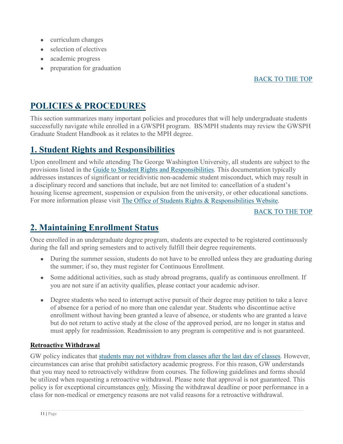- curriculum changes
- $\bullet$  selection of electives
- academic progress
- preparation for graduation

#### BACK TO THE TOP

## <span id="page-11-0"></span>**POLICIES & PROCEDURES**

This section summarizes many important policies and procedures that will help undergraduate students successfully navigate while enrolled in a GWSPH program. BS/MPH students may review the GWSPH Graduate Student Handbook as it relates to the MPH degree.

### <span id="page-11-1"></span>**1. Student Rights and Responsibilities**

Upon enrollment and while attending The George Washington University, all students are subject to the provisions listed in the [Guide to Student Rights and Responsibilities.](http://studentconduct.gwu.edu/guide-student-rights-responsibilities) This documentation typically addresses instances of significant or recidivistic non-academic student misconduct, which may result in a disciplinary record and sanctions that include, but are not limited to: cancellation of a student's housing license agreement, suspension or expulsion from the university, or other educational sanctions. For more information please visit [The Office of Students Rights & Responsibilities Website.](http://studentconduct.gwu.edu/student-rights-responsibilities)

#### BACK TO THE TOP

# <span id="page-11-2"></span>**2. Maintaining Enrollment Status**

Once enrolled in an undergraduate degree program, students are expected to be registered continuously during the fall and spring semesters and to actively fulfill their degree requirements.

- During the summer session, students do not have to be enrolled unless they are graduating during the summer; if so, they must register for Continuous Enrollment.
- Some additional activities, such as study abroad programs, qualify as continuous enrollment. If you are not sure if an activity qualifies, please contact your academic advisor.
- Degree students who need to interrupt active pursuit of their degree may petition to take a leave of absence for a period of no more than one calendar year. Students who discontinue active enrollment without having been granted a leave of absence, or students who are granted a leave but do not return to active study at the close of the approved period, are no longer in status and must apply for readmission. Readmission to any program is competitive and is not guaranteed.

#### **Retroactive Withdrawal**

GW policy indicates that [students may not withdraw from classes after the last day of classes.](https://registrar.gwu.edu/withdrawals-refunds#UG8th) However, circumstances can arise that prohibit satisfactory academic progress. For this reason, GW understands that you may need to retroactively withdraw from courses. The following guidelines and forms should be utilized when requesting a retroactive withdrawal. Please note that approval is not guaranteed. This policy is for exceptional circumstances only. Missing the withdrawal deadline or poor performance in a class for non-medical or emergency reasons are not valid reasons for a retroactive withdrawal.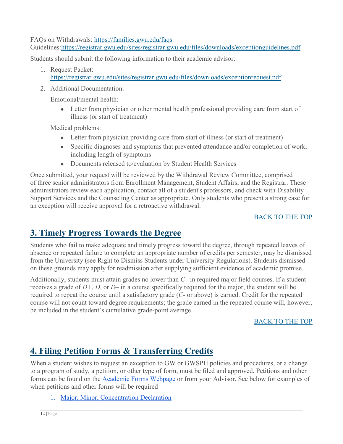FAQs on Withdrawals: <https://families.gwu.edu/faqs>

Guidelines[:https://registrar.gwu.edu/sites/registrar.gwu.edu/files/downloads/exceptionguidelines.pdf](https://registrar.gwu.edu/sites/registrar.gwu.edu/files/downloads/exceptionguidelines.pdf)

Students should submit the following information to their academic advisor:

- 1. Request Packet: <https://registrar.gwu.edu/sites/registrar.gwu.edu/files/downloads/exceptionrequest.pdf>
- 2. Additional Documentation:

Emotional/mental health:

• Letter from physician or other mental health professional providing care from start of illness (or start of treatment)

Medical problems:

- Letter from physician providing care from start of illness (or start of treatment)
- Specific diagnoses and symptoms that prevented attendance and/or completion of work, including length of symptoms
- Documents released to/evaluation by Student Health Services

Once submitted, your request will be reviewed by the Withdrawal Review Committee, comprised of three senior administrators from Enrollment Management, Student Affairs, and the Registrar. These administrators review each application, contact all of a student's professors, and check with Disability Support Services and the Counseling Center as appropriate. Only students who present a strong case for an exception will receive approval for a retroactive withdrawal.

#### BACK TO THE TOP

# <span id="page-12-0"></span>**3. Timely Progress Towards the Degree**

Students who fail to make adequate and timely progress toward the degree, through repeated leaves of absence or repeated failure to complete an appropriate number of credits per semester, may be dismissed from the University (see Right to Dismiss Students under University Regulations). Students dismissed on these grounds may apply for readmission after supplying sufficient evidence of academic promise.

Additionally, students must attain grades no lower than *C–* in required major field courses. If a student receives a grade of *D+*, *D*, or *D–* in a course specifically required for the major, the student will be required to repeat the course until a satisfactory grade (*C-* or above) is earned. Credit for the repeated course will not count toward degree requirements; the grade earned in the repeated course will, however, be included in the student's cumulative grade-point average.

#### BACK TO THE TOP

# <span id="page-12-1"></span>**4. Filing Petition Forms & Transferring Credits**

When a student wishes to request an exception to GW or GWSPH policies and procedures, or a change to a program of study, a petition, or other type of form, must be filed and approved. Petitions and other forms can be found on the [Academic Forms Webpage](http://publichealth.gwu.edu/academics/forms) or from your Advisor. See below for examples of when petitions and other forms will be required

1. [Major, Minor, Concentration Declaration](https://publichealth.gwu.edu/academics/major-minor-concentration-declaration-form)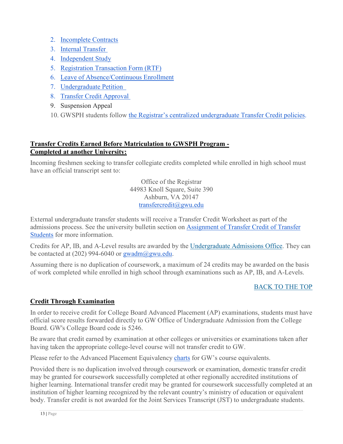- 2. [Incomplete Contracts](https://publichealth.gwu.edu/content/incomplete-course-grade-contract)
- 3. [Internal Transfer](https://registrar.gwu.edu/undergraduate-internal-transfer)
- 4. [Independent Study](https://publichealth.gwu.edu/sites/default/files/images/Independent%20Study-Undergrad_EXNS%203101-PUBH%204199.pdf)
- 5. [Registration Transaction Form](https://registrar.gwu.edu/sites/g/files/zaxdzs2171/f/downloads/reg_transaction_form.pdf) (RTF)
- 6. [Leave of Absence/Continuous En](https://business.gwu.edu/sites/g/files/zaxdzs1611/f/GWSB_GradProg_Forms_Leave-of-Absence-and-Continuous-Enrollment-Form_2017.10.pdf)rollment
- 7. [Undergraduate Petition](https://publichealth.gwu.edu/sites/default/files/images/SPH%20Undergraduate%20Petition_edit_0.pdf)
- 8. [Transfer Credit Approval](https://business.gwu.edu/sites/g/files/zaxdzs1611/f/downloads/transfercredit.pdf)
- 9. Suspension Appeal
- 10. GWSPH students follow [the Registrar's centralized undergraduate Transfer Credit policies.](https://registrar.gwu.edu/transfer-credit)

#### **Transfer Credits Earned Before Matriculation to GWSPH Program - Completed at another University:**

Incoming freshmen seeking to transfer collegiate credits completed while enrolled in high school must have an official transcript sent to:

> Office of the Registrar 44983 Knoll Square, Suite 390 Ashburn, VA 20147 [transfercredit@gwu.edu](mailto:transfercredit@gwu.edu)

External undergraduate transfer students will receive a Transfer Credit Worksheet as part of the admissions process. See the university bulletin section o[n](http://bulletin.gwu.edu/undergraduate-admissions/) [Assignment of Transfer Credit of Transfer](https://registrar.gwu.edu/transfer-credit) [Students](https://registrar.gwu.edu/transfer-credit) for more information.

Credits for AP, IB, and A-Level results are awarded by the [Undergraduate Admissions Office.](https://undergraduate.admissions.gwu.edu/bring-credits-gw) They can be contacted at  $(202)$  994-6040 or gwadm $@g$ gwu.edu.

Assuming there is no duplication of coursework, a maximum of 24 credits may be awarded on the basis of work completed while enrolled in high school through examinations such as AP, IB, and A-Levels.

#### BACK TO THE TOP

#### **Credit Through Examination**

In order to receive credit for College Board Advanced Placement (AP) examinations, students must have official score results forwarded directly to GW Office of Undergraduate Admission from the College Board. GW's College Board code is 5246.

Be aware that credit earned by examination at other colleges or universities or examinations taken after having taken the appropriate college-level course will not transfer credit to GW.

Please refer to the Advanced Placement Equivalency [charts](https://registrar.gwu.edu/transfer-credit) for GW's course equivalents.

Provided there is no duplication involved through coursework or examination, domestic transfer credit may be granted for coursework successfully completed at other regionally accredited institutions of higher learning. International transfer credit may be granted for coursework successfully completed at an institution of higher learning recognized by the relevant country's ministry of education or equivalent body. Transfer credit is not awarded for the Joint Services Transcript (JST) to undergraduate students.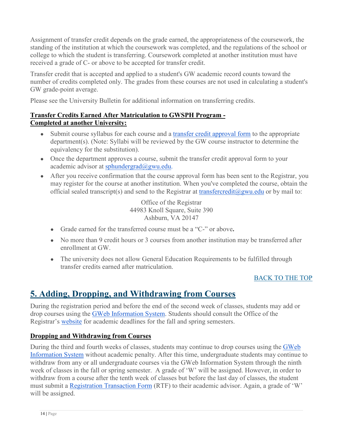Assignment of transfer credit depends on the grade earned, the appropriateness of the coursework, the standing of the institution at which the coursework was completed, and the regulations of the school or college to which the student is transferring. Coursework completed at another institution must have received a grade of C- or above to be accepted for transfer credit.

Transfer credit that is accepted and applied to a student's GW academic record counts toward the number of credits completed only. The grades from these courses are not used in calculating a student's GW grade-point average.

Please see the University Bulletin for additional information on transferring credits.

#### **Transfer Credits Earned After Matriculation to GWSPH Program - Completed at another University:**

- Submit course syllabus for each course and a [transfer credit approval form](https://registrar.gwu.edu/sites/g/files/zaxdzs2171/f/Transfer_Credit_Approval_Form2018.pdf) to the appropriate department(s). (Note: Syllabi will be reviewed by the GW course instructor to determine the equivalency for the substitution).
- Once the department approves a course, submit the transfer credit approval form to your academic advisor at [sphundergrad@gwu.edu.](mailto:sphundergrad@gwu.edu)
- After you receive confirmation that the course approval form has been sent to the Registrar, you may register for the course at another institution. When you've completed the course, obtain the official sealed transcript(s) and send to the Registrar at [transfercredit@gwu.edu](mailto:transfercredit@gwu.edu) or by mail to:

Office of the Registrar 44983 Knoll Square, Suite 390 Ashburn, VA 20147

- Grade earned for the transferred course must be a "C-" or above**.**
- No more than 9 credit hours or 3 courses from another institution may be transferred after enrollment at GW.
- The university does not allow General Education Requirements to be fulfilled through transfer credits earned after matriculation.

#### BACK TO THE TOP

# <span id="page-14-0"></span>**5. Adding, Dropping, and Withdrawing from Courses**

During the registration period and before the end of the second week of classes, students may add or drop courses using the [GWeb Information System.](https://it.gwu.edu/gweb) Students should consult the Office of the Registrar's [website](http://registrar.gwu.edu/) for academic deadlines for the fall and spring semesters.

#### **Dropping and Withdrawing from Courses**

During the third and fourth weeks of classes, students may continue to drop courses using the [GWeb](https://it.gwu.edu/gweb)  [Information System](https://it.gwu.edu/gweb) without academic penalty. After this time, undergraduate students may continue to withdraw from any or all undergraduate courses via the GWeb Information System through the ninth week of classes in the fall or spring semester. A grade of 'W' will be assigned. However, in order to withdraw from a course after the tenth week of classes but before the last day of classes, the student must submit a [Registration Transaction Form](https://registrar.gwu.edu/sites/registrar.gwu.edu/files/downloads/reg_transaction_form.pdf) (RTF) to their academic advisor. Again, a grade of 'W' will be assigned.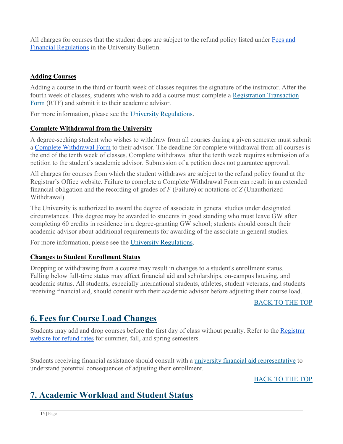All charges for courses that the student drops are subject to the refund policy listed under Fees and [Financial Regulations](http://bulletin.gwu.edu/fees-financial-regulations/) in the University Bulletin.

#### **Adding Courses**

Adding a course in the third or fourth week of classes requires the signature of the instructor. After the fourth week of classes, students who wish to add a course must complete a [Registration Transaction](https://registrar.gwu.edu/sites/registrar.gwu.edu/files/downloads/reg_transaction_form.pdf)  [Form](https://registrar.gwu.edu/sites/registrar.gwu.edu/files/downloads/reg_transaction_form.pdf) (RTF) and submit it to their academic advisor.

For more information, please see the [University Regulations.](http://bulletin.gwu.edu/university-regulations/#adding)

#### **Complete Withdrawal from the University**

A degree-seeking student who wishes to withdraw from all courses during a given semester must submit a [Complete Withdrawal Form](https://registrar.gwu.edu/sites/g/files/zaxdzs2171/f/UGComplete%20Withdrawal%20Form_Sep20.pdf) to their advisor. The deadline for complete withdrawal from all courses is the end of the tenth week of classes. Complete withdrawal after the tenth week requires submission of a petition to the student's academic advisor. Submission of a petition does not guarantee approval.

All charges for courses from which the student withdraws are subject to the refund policy found at the Registrar's Office website. Failure to complete a Complete Withdrawal Form can result in an extended financial obligation and the recording of grades of *F* (Failure) or notations of *Z* (Unauthorized Withdrawal).

The University is authorized to award the degree of associate in general studies under designated circumstances. This degree may be awarded to students in good standing who must leave GW after completing 60 credits in residence in a degree-granting GW school; students should consult their academic advisor about additional requirements for awarding of the associate in general studies.

For more information, please see the [University Regulations.](http://bulletin.gwu.edu/university-regulations/#Withdrawal)

#### **Changes to Student Enrollment Status**

Dropping or withdrawing from a course may result in changes to a student's enrollment status. Falling below full-time status may affect financial aid and scholarships, on-campus housing, and academic status. All students, especially international students, athletes, student veterans, and students receiving financial aid, should consult with their academic advisor before adjusting their course load.

#### BACK TO THE TOP

### **6. Fees for Course Load Changes**

Students may add and drop courses before the first day of class without penalty. Refer to the [Registrar](https://registrar.gwu.edu/withdrawals-refunds)  [website for refund rates](https://registrar.gwu.edu/withdrawals-refunds) for summer, fall, and spring semesters.

Students receiving financial assistance should consult with a *[university financial aid representative](https://financialaid.gwu.edu/getting-assistance)* to understand potential consequences of adjusting their enrollment.

BACK TO THE TOP

# <span id="page-15-0"></span>**7. Academic Workload and Student Status**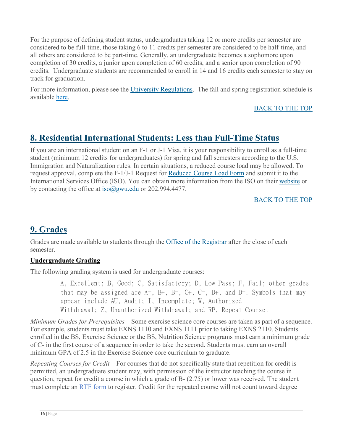For the purpose of defining student status, undergraduates taking 12 or more credits per semester are considered to be full-time, those taking 6 to 11 credits per semester are considered to be half-time, and all others are considered to be part-time. Generally, an undergraduate becomes a sophomore upon completion of 30 credits, a junior upon completion of 60 credits, and a senior upon completion of 90 credits. Undergraduate students are recommended to enroll in 14 and 16 credits each semester to stay on track for graduation.

For more information, please see the [University Regulations.](http://bulletin.gwu.edu/university-regulations/#Grades) The fall and spring registration schedule is available [here.](https://registrar.gwu.edu/fall-spring-schedule)

#### BACK TO THE TOP

# <span id="page-16-0"></span>**8. Residential International Students: Less than Full-Time Status**

If you are an international student on an F-1 or J-1 Visa, it is your responsibility to enroll as a full-time student (minimum 12 credits for undergraduates) for spring and fall semesters according to the U.S. Immigration and Naturalization rules. In certain situations, a reduced course load may be allowed. To request approval, complete the F-1/J-1 Request for [Reduced Course Load Form](https://internationalservices.gwu.edu/forms-handouts) and submit it to the International Services Office (ISO). You can obtain more information from the ISO on their [website](http://internationalservices.gwu.edu/) or by contacting the office at [iso@gwu.edu](mailto:iso@gwu.edu) or 202.994.4477.

#### BACK TO THE TOP

# <span id="page-16-1"></span>**9. Grades**

Grades are made available to students through the [Office of the Registrar](http://registrar.gwu.edu/) after the close of each semester.

#### **Undergraduate Grading**

The following grading system is used for undergraduate courses:

A, Excellent; B, Good; C, Satisfactory; D, Low Pass; F, Fail; other grades that may be assigned are A−, B+, B−, C+, C−, D+, and D−. Symbols that may appear include AU, Audit; I, Incomplete; W, Authorized Withdrawal; Z, Unauthorized Withdrawal; and RP, Repeat Course.

*Minimum Grades for Prerequisites*—Some exercise science core courses are taken as part of a sequence. For example, students must take EXNS 1110 and EXNS 1111 prior to taking EXNS 2110. Students enrolled in the BS, Exercise Science or the BS, Nutrition Science programs must earn a minimum grade of C- in the first course of a sequence in order to take the second. Students must earn an overall minimum GPA of 2.5 in the Exercise Science core curriculum to graduate.

*Repeating Courses for Credit*—For courses that do not specifically state that repetition for credit is permitted, an undergraduate student may, with permission of the instructor teaching the course in question, repeat for credit a course in which a grade of B- (2.75) or lower was received. The student must complete an [RTF form](https://publichealth.gwu.edu/academics/forms) to register. Credit for the repeated course will not count toward degree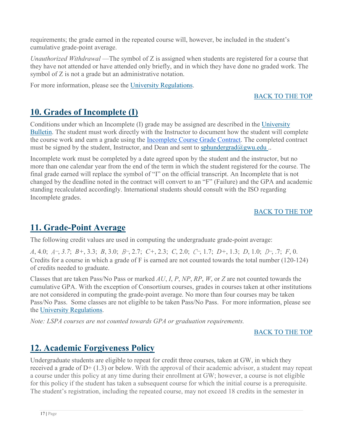requirements; the grade earned in the repeated course will, however, be included in the student's cumulative grade-point average.

*Unauthorized Withdrawal* —The symbol of Z is assigned when students are registered for a course that they have not attended or have attended only briefly, and in which they have done no graded work. The symbol of Z is not a grade but an administrative notation.

For more information, please see the [University Regulations.](http://bulletin.gwu.edu/university-regulations/#Grades)

#### BACK TO THE TOP

# <span id="page-17-0"></span>**10. Grades of Incomplete (I)**

Conditions under which an Incomplete (I) grade may be assigned are described in the [University](http://bulletin.gwu.edu/university-regulations/)  [Bulletin.](http://bulletin.gwu.edu/university-regulations/) The student must work directly with the Instructor to document how the student will complete the course work and earn a grade using the [Incomplete Course Grade Contract.](https://publichealth.gwu.edu/content/incomplete-course-grade-contract) The completed contract must be signed by the student, Instructor, and Dean and sent to [sphundergrad@gwu.edu](mailto:sphundergrad@gwu.edu)..

Incomplete work must be completed by a date agreed upon by the student and the instructor, but no more than one calendar year from the end of the term in which the student registered for the course. The final grade earned will replace the symbol of "I" on the official transcript. An Incomplete that is not changed by the deadline noted in the contract will convert to an "F" (Failure) and the GPA and academic standing recalculated accordingly. International students should consult with the ISO regarding Incomplete grades.

#### BACK TO THE TOP

# <span id="page-17-1"></span>**11. Grade-Point Average**

The following credit values are used in computing the undergraduate grade-point average:

*A*, 4.0; A−, *3.7*; *B+*, 3.3; *B*, 3.0; B−, 2.7; *C+*, 2.3; *C*, 2.0; C−, 1.7; *D+*, 1.3; *D*, 1.0; D−, .7; *F*, 0. Credits for a course in which a grade of F is earned are not counted towards the total number (120-124) of credits needed to graduate.

Classes that are taken Pass/No Pass or marked *AU*, *I*, *P*, *NP*, *RP*, *W*, or *Z* are not counted towards the cumulative GPA. With the exception of Consortium courses, grades in courses taken at other institutions are not considered in computing the grade-point average. No more than four courses may be taken Pass/No Pass. Some classes are not eligible to be taken Pass/No Pass. For more information, please see the [University Regulations.](http://bulletin.gwu.edu/university-regulations/#GPA)

*Note: LSPA courses are not counted towards GPA or graduation requirements.*

#### BACK TO THE TOP

# <span id="page-17-2"></span>**12. Academic Forgiveness Policy**

Undergraduate students are eligible to repeat for credit three courses, taken at GW, in which they received a grade of  $D+ (1.3)$  or below. With the approval of their academic advisor, a student may repeat a course under this policy at any time during their enrollment at GW; however, a course is not eligible for this policy if the student has taken a subsequent course for which the initial course is a prerequisite. The student's registration, including the repeated course, may not exceed 18 credits in the semester in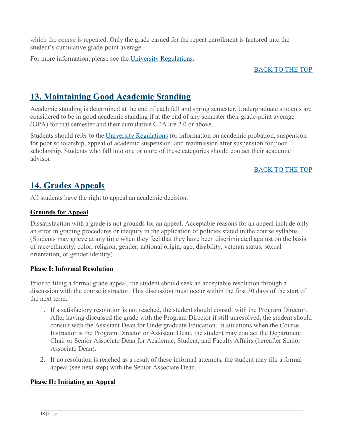which the course is repeated. Only the grade earned for the repeat enrollment is factored into the student's cumulative grade-point average.

For more information, please see the [University Regulations.](http://bulletin.gwu.edu/university-regulations/#Academic%20Forgiveness%20Policy)

#### BACK TO THE TOP

### <span id="page-18-0"></span>**13. Maintaining Good Academic Standing**

Academic standing is determined at the end of each fall and spring semester. Undergraduate students are considered to be in good academic standing if at the end of any semester their grade-point average (GPA) for that semester and their cumulative GPA are 2.0 or above.

Students should refer to the [University Regulations](http://bulletin.gwu.edu/university-regulations/#Standing) for information on academic probation, suspension for poor scholarship, appeal of academic suspension, and readmission after suspension for poor scholarship. Students who fall into one or more of these categories should contact their academic advisor.

#### BACK TO THE TOP

### <span id="page-18-1"></span>**14. Grades Appeals**

All students have the right to appeal an academic decision.

#### **Grounds for Appeal**

Dissatisfaction with a grade is not grounds for an appeal. Acceptable reasons for an appeal include only an error in grading procedures or inequity in the application of policies stated in the course syllabus. (Students may grieve at any time when they feel that they have been discriminated against on the basis of race/ethnicity, color, religion, gender, national origin, age, disability, veteran status, sexual orientation, or gender identity).

#### **Phase I: Informal Resolution**

Prior to filing a formal grade appeal, the student should seek an acceptable resolution through a discussion with the course instructor. This discussion must occur within the first 30 days of the start of the next term.

- 1. If a satisfactory resolution is not reached, the student should consult with the Program Director. After having discussed the grade with the Program Director if still unresolved, the student should consult with the Assistant Dean for Undergraduate Education. In situations when the Course Instructor is the Program Director or Assistant Dean, the student may contact the Department Chair or Senior Associate Dean for Academic, Student, and Faculty Affairs (hereafter Senior Associate Dean).
- 2. If no resolution is reached as a result of these informal attempts, the student may file a formal appeal (see next step) with the Senior Associate Dean.

#### **Phase II: Initiating an Appeal**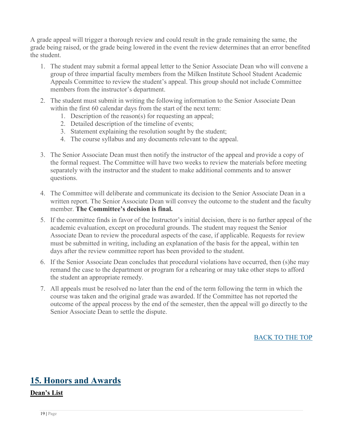A grade appeal will trigger a thorough review and could result in the grade remaining the same, the grade being raised, or the grade being lowered in the event the review determines that an error benefited the student.

- 1. The student may submit a formal appeal letter to the Senior Associate Dean who will convene a group of three impartial faculty members from the Milken Institute School Student Academic Appeals Committee to review the student's appeal. This group should not include Committee members from the instructor's department.
- 2. The student must submit in writing the following information to the Senior Associate Dean within the first 60 calendar days from the start of the next term:
	- 1. Description of the reason(s) for requesting an appeal;
	- 2. Detailed description of the timeline of events;
	- 3. Statement explaining the resolution sought by the student;
	- 4. The course syllabus and any documents relevant to the appeal.
- 3. The Senior Associate Dean must then notify the instructor of the appeal and provide a copy of the formal request. The Committee will have two weeks to review the materials before meeting separately with the instructor and the student to make additional comments and to answer questions.
- 4. The Committee will deliberate and communicate its decision to the Senior Associate Dean in a written report. The Senior Associate Dean will convey the outcome to the student and the faculty member. **The Committee's decision is final.**
- 5. If the committee finds in favor of the Instructor's initial decision, there is no further appeal of the academic evaluation, except on procedural grounds. The student may request the Senior Associate Dean to review the procedural aspects of the case, if applicable. Requests for review must be submitted in writing, including an explanation of the basis for the appeal, within ten days after the review committee report has been provided to the student.
- 6. If the Senior Associate Dean concludes that procedural violations have occurred, then (s)he may remand the case to the department or program for a rehearing or may take other steps to afford the student an appropriate remedy.
- 7. All appeals must be resolved no later than the end of the term following the term in which the course was taken and the original grade was awarded. If the Committee has not reported the outcome of the appeal process by the end of the semester, then the appeal will go directly to the Senior Associate Dean to settle the dispute.

#### BACK TO THE TOP

# <span id="page-19-0"></span>**15. Honors and Awards**

**Dean's List**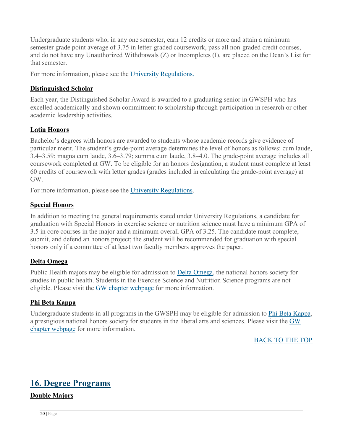Undergraduate students who, in any one semester, earn 12 credits or more and attain a minimum semester grade point average of 3.75 in letter-graded coursework, pass all non-graded credit courses, and do not have any Unauthorized Withdrawals (Z) or Incompletes (I), are placed on the Dean's List for that semester.

For more information, please see the [University Regulations.](http://bulletin.gwu.edu/university-regulations/#Latin)

#### **Distinguished Scholar**

Each year, the Distinguished Scholar Award is awarded to a graduating senior in GWSPH who has excelled academically and shown commitment to scholarship through participation in research or other academic leadership activities.

#### **Latin Honors**

Bachelor's degrees with honors are awarded to students whose academic records give evidence of particular merit. The student's grade-point average determines the level of honors as follows: cum laude, 3.4–3.59; magna cum laude, 3.6–3.79; summa cum laude, 3.8–4.0. The grade-point average includes all coursework completed at GW. To be eligible for an honors designation, a student must complete at least 60 credits of coursework with letter grades (grades included in calculating the grade-point average) at GW.

For more information, please see the [University Regulations.](http://bulletin.gwu.edu/university-regulations/#Latin)

#### **Special Honors**

In addition to meeting the general requirements stated under University Regulations, a candidate for graduation with Special Honors in exercise science or nutrition science must have a minimum GPA of 3.5 in core courses in the major and a minimum overall GPA of 3.25. The candidate must complete, submit, and defend an honors project; the student will be recommended for graduation with special honors only if a committee of at least two faculty members approves the paper.

#### **Delta Omega**

Public Health majors may be eligible for admission to [Delta Omega,](https://deltaomega.org/) the national honors society for studies in public health. Students in the Exercise Science and Nutrition Science programs are not eligible. Please visit the [GW chapter webpage](https://publichealth.gwu.edu/projects/delta-omega) for more information.

#### **Phi Beta Kappa**

Undergraduate students in all programs in the GWSPH may be eligible for admission to [Phi Beta Kappa,](https://www.pbk.org/) a prestigious national honors society for students in the liberal arts and sciences. Please visit the [GW](http://phibetakappa.gwu.edu/)  [chapter webpage](http://phibetakappa.gwu.edu/) for more information.

BACK TO THE TOP

### <span id="page-20-0"></span>**16. Degree Programs**

#### **Double Majors**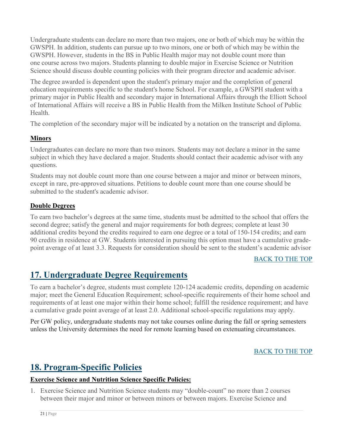Undergraduate students can declare no more than two majors, one or both of which may be within the GWSPH. In addition, students can pursue up to two minors, one or both of which may be within the GWSPH. However, students in the BS in Public Health major may not double count more than one course across two majors. Students planning to double major in Exercise Science or Nutrition Science should discuss double counting policies with their program director and academic advisor.

The degree awarded is dependent upon the student's primary major and the completion of general education requirements specific to the student's home School. For example, a GWSPH student with a primary major in Public Health and secondary major in International Affairs through the Elliott School of International Affairs will receive a BS in Public Health from the Milken Institute School of Public Health.

The completion of the secondary major will be indicated by a notation on the transcript and diploma.

#### **Minors**

Undergraduates can declare no more than two minors. Students may not declare a minor in the same subject in which they have declared a major. Students should contact their academic advisor with any questions.

Students may not double count more than one course between a major and minor or between minors, except in rare, pre-approved situations. Petitions to double count more than one course should be submitted to the student's academic advisor.

#### **Double Degrees**

To earn two bachelor's degrees at the same time, students must be admitted to the school that offers the second degree; satisfy the general and major requirements for both degrees; complete at least 30 additional credits beyond the credits required to earn one degree or a total of 150-154 credits; and earn 90 credits in residence at GW. Students interested in pursuing this option must have a cumulative gradepoint average of at least 3.3. Requests for consideration should be sent to the student's academic advisor

#### BACK TO THE TOP

# <span id="page-21-0"></span>**17. Undergraduate Degree Requirements**

To earn a bachelor's degree, students must complete 120-124 academic credits, depending on academic major; meet the General Education Requirement; school-specific requirements of their home school and requirements of at least one major within their home school; fulfill the residence requirement; and have a cumulative grade point average of at least 2.0. Additional school-specific regulations may apply.

Per GW policy, undergraduate students may not take courses online during the fall or spring semesters unless the University determines the need for remote learning based on extenuating circumstances.

#### BACK TO THE TOP

### <span id="page-21-1"></span>**18. Program-Specific Policies**

#### **Exercise Science and Nutrition Science Specific Policies:**

1. Exercise Science and Nutrition Science students may "double-count" no more than 2 courses between their major and minor or between minors or between majors. Exercise Science and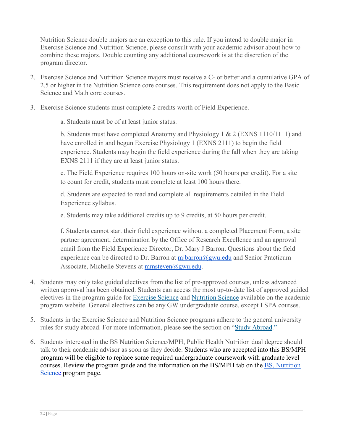Nutrition Science double majors are an exception to this rule. If you intend to double major in Exercise Science and Nutrition Science, please consult with your academic advisor about how to combine these majors. Double counting any additional coursework is at the discretion of the program director.

- 2. Exercise Science and Nutrition Science majors must receive a C- or better and a cumulative GPA of 2.5 or higher in the Nutrition Science core courses. This requirement does not apply to the Basic Science and Math core courses.
- 3. Exercise Science students must complete 2 credits worth of Field Experience.
	- a. Students must be of at least junior status.

b. Students must have completed Anatomy and Physiology 1 & 2 (EXNS 1110/1111) and have enrolled in and begun Exercise Physiology 1 (EXNS 2111) to begin the field experience. Students may begin the field experience during the fall when they are taking EXNS 2111 if they are at least junior status.

c. The Field Experience requires 100 hours on-site work (50 hours per credit). For a site to count for credit, students must complete at least 100 hours there.

d. Students are expected to read and complete all requirements detailed in the Field Experience syllabus.

e. Students may take additional credits up to 9 credits, at 50 hours per credit.

f. Students cannot start their field experience without a completed Placement Form, a site partner agreement, determination by the Office of Research Excellence and an approval email from the Field Experience Director, Dr. Mary J Barron. Questions about the field experience can be directed to Dr. Barron at  $\frac{m\bar{x}}{m(2gwu.edu)}$  and Senior Practicum Associate, Michelle Stevens at [mmsteven@gwu.edu.](mailto:mmsteven@gwu.edu)

- 4. Students may only take guided electives from the list of pre-approved courses, unless advanced written approval has been obtained. Students can access the most up-to-date list of approved guided electives in the program guide for [Exercise Science](https://publichealth.gwu.edu/sites/default/files/BS%20Exercise%20Science%20Program%20Guide%202018-19%20-%20Paige%20Edits_1.pdf) and [Nutrition Science](https://publichealth.gwu.edu/sites/default/files/BS%20Nutr%20Sci%202018-19%20Program%20Guide%20-%20Paige%20Edits.pdf) available on the academic program website. General electives can be any GW undergraduate course, except LSPA courses.
- 5. Students in the Exercise Science and Nutrition Science programs adhere to the general university rules for study abroad. For more information, please see the section on ["Study Abroad.](#page-26-1)"
- 6. Students interested in the BS Nutrition Science/MPH, Public Health Nutrition dual degree should talk to their academic advisor as soon as they decide. Students who are accepted into this BS/MPH program will be eligible to replace some required undergraduate coursework with graduate level courses. Review the program guide and the information on the BS/MPH tab on the [BS, Nutrition](https://publichealth.gwu.edu/content/nutrition-science-bs)  [Science](https://publichealth.gwu.edu/content/nutrition-science-bs) program page.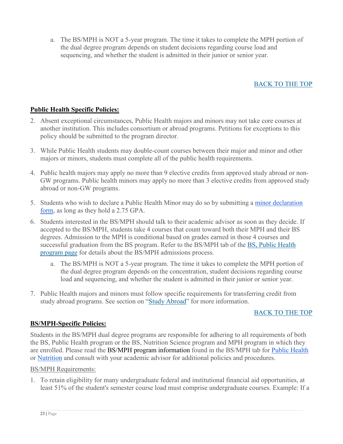a. The BS/MPH is NOT a 5-year program. The time it takes to complete the MPH portion of the dual degree program depends on student decisions regarding course load and sequencing, and whether the student is admitted in their junior or senior year.

#### BACK TO THE TOP

#### **Public Health Specific Policies:**

- 2. Absent exceptional circumstances, Public Health majors and minors may not take core courses at another institution. This includes consortium or abroad programs. Petitions for exceptions to this policy should be submitted to the program director.
- 3. While Public Health students may double-count courses between their major and minor and other majors or minors, students must complete all of the public health requirements.
- 4. Public health majors may apply no more than 9 elective credits from approved study abroad or non-GW programs. Public health minors may apply no more than 3 elective credits from approved study abroad or non-GW programs.
- 5. Students who wish to declare a Public Health Minor may do so by submitting a minor declaration [form,](https://publichealth.gwu.edu/academics/gwsph-undergraduate-declaration-form) as long as they hold a 2.75 GPA.
- 6. Students interested in the BS/MPH should talk to their academic advisor as soon as they decide. If accepted to the BS/MPH, students take 4 courses that count toward both their MPH and their BS degrees. Admission to the MPH is conditional based on grades earned in those 4 courses and successful graduation from the BS program. Refer to the BS/MPH tab of the [BS, Public Health](https://publichealth.gwu.edu/programs/public-health-bs)  [program page](https://publichealth.gwu.edu/programs/public-health-bs) for details about the BS/MPH admissions process.
	- a. The BS/MPH is NOT a 5-year program. The time it takes to complete the MPH portion of the dual degree program depends on the concentration, student decisions regarding course load and sequencing, and whether the student is admitted in their junior or senior year.
- 7. Public Health majors and minors must follow specific requirements for transferring credit from study abroad programs. See section on ["Study Abroad"](#page-26-1) for more information.

#### BACK TO THE TOP

#### **BS/MPH-Specific Policies:**

Students in the BS/MPH dual degree programs are responsible for adhering to all requirements of both the BS, Public Health program or the BS, Nutrition Science program and MPH program in which they are enrolled. Please read the BS/MPH program information found in the BS/MPH tab for [Public Health](https://publichealth.gwu.edu/programs/public-health-bs) or [Nutrition](https://publichealth.gwu.edu/content/nutrition-science-bs) and consult with your academic advisor for additional policies and procedures.

#### BS/MPH Requirements:

1. To retain eligibility for many undergraduate federal and institutional financial aid opportunities, at least 51% of the student's semester course load must comprise undergraduate courses. Example: If a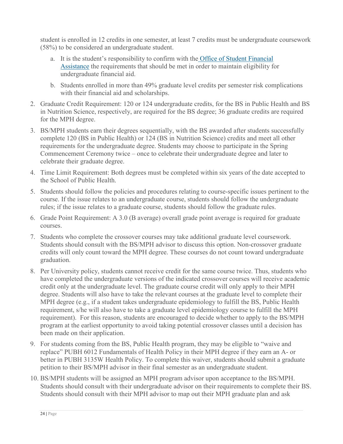student is enrolled in 12 credits in one semester, at least 7 credits must be undergraduate coursework (58%) to be considered an undergraduate student.

- a. It is the student's responsibility to confirm with the [Office of Student Financial](http://financialaid.gwu.edu/contact-us)  [Assistance](http://financialaid.gwu.edu/contact-us) the requirements that should be met in order to maintain eligibility for undergraduate financial aid.
- b. Students enrolled in more than 49% graduate level credits per semester risk complications with their financial aid and scholarships.
- 2. Graduate Credit Requirement: 120 or 124 undergraduate credits, for the BS in Public Health and BS in Nutrition Science, respectively, are required for the BS degree; 36 graduate credits are required for the MPH degree.
- 3. BS/MPH students earn their degrees sequentially, with the BS awarded after students successfully complete 120 (BS in Public Health) or 124 (BS in Nutrition Science) credits and meet all other requirements for the undergraduate degree. Students may choose to participate in the Spring Commencement Ceremony twice – once to celebrate their undergraduate degree and later to celebrate their graduate degree.
- 4. Time Limit Requirement: Both degrees must be completed within six years of the date accepted to the School of Public Health.
- 5. Students should follow the policies and procedures relating to course-specific issues pertinent to the course. If the issue relates to an undergraduate course, students should follow the undergraduate rules; if the issue relates to a graduate course, students should follow the graduate rules.
- 6. Grade Point Requirement: A 3.0 (B average) overall grade point average is required for graduate courses.
- 7. Students who complete the crossover courses may take additional graduate level coursework. Students should consult with the BS/MPH advisor to discuss this option. Non-crossover graduate credits will only count toward the MPH degree. These courses do not count toward undergraduate graduation.
- 8. Per University policy, students cannot receive credit for the same course twice. Thus, students who have completed the undergraduate versions of the indicated crossover courses will receive academic credit only at the undergraduate level. The graduate course credit will only apply to their MPH degree. Students will also have to take the relevant courses at the graduate level to complete their MPH degree (e.g., if a student takes undergraduate epidemiology to fulfill the BS, Public Health requirement, s/he will also have to take a graduate level epidemiology course to fulfill the MPH requirement). For this reason, students are encouraged to decide whether to apply to the BS/MPH program at the earliest opportunity to avoid taking potential crossover classes until a decision has been made on their application.
- 9. For students coming from the BS, Public Health program, they may be eligible to "waive and replace" PUBH 6012 Fundamentals of Health Policy in their MPH degree if they earn an A- or better in PUBH 3135W Health Policy. To complete this waiver, students should submit a graduate petition to their BS/MPH advisor in their final semester as an undergraduate student.
- 10. BS/MPH students will be assigned an MPH program advisor upon acceptance to the BS/MPH. Students should consult with their undergraduate advisor on their requirements to complete their BS. Students should consult with their MPH advisor to map out their MPH graduate plan and ask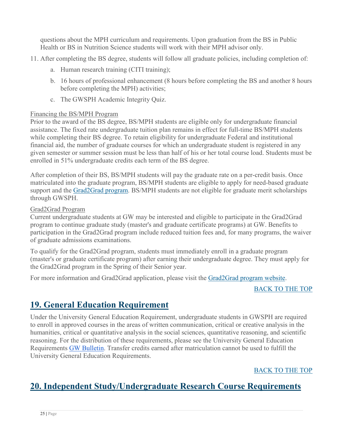questions about the MPH curriculum and requirements. Upon graduation from the BS in Public Health or BS in Nutrition Science students will work with their MPH advisor only.

- 11. After completing the BS degree, students will follow all graduate policies, including completion of:
	- a. Human research training (CITI training);
	- b. 16 hours of professional enhancement (8 hours before completing the BS and another 8 hours before completing the MPH) activities;
	- c. The GWSPH Academic Integrity Quiz.

#### Financing the BS/MPH Program

Prior to the award of the BS degree, BS/MPH students are eligible only for undergraduate financial assistance. The fixed rate undergraduate tuition plan remains in effect for full-time BS/MPH students while completing their BS degree. To retain eligibility for undergraduate Federal and institutional financial aid, the number of graduate courses for which an undergraduate student is registered in any given semester or summer session must be less than half of his or her total course load. Students must be enrolled in 51% undergraduate credits each term of the BS degree.

After completion of their BS, BS/MPH students will pay the graduate rate on a per-credit basis. Once matriculated into the graduate program, BS/MPH students are eligible to apply for need-based graduate support and the [Grad2Grad program.](https://graduate.admissions.gwu.edu/grad2grad) BS/MPH students are not eligible for graduate merit scholarships through GWSPH.

#### Grad2Grad Program

Current undergraduate students at GW may be interested and eligible to participate in the Grad2Grad program to continue graduate study (master's and graduate certificate programs) at GW. Benefits to participation in the Grad2Grad program include reduced tuition fees and, for many programs, the waiver of graduate admissions examinations.

To qualify for the Grad2Grad program, students must immediately enroll in a graduate program (master's or graduate certificate program) after earning their undergraduate degree. They must apply for the Grad2Grad program in the Spring of their Senior year.

For more information and Grad2Grad application, please visit the [Grad2Grad program website.](https://graduate.admissions.gwu.edu/grad2grad)

BACK TO THE TOP

# <span id="page-25-0"></span>**19. General Education Requirement**

Under the University General Education Requirement, undergraduate students in GWSPH are required to enroll in approved courses in the areas of written communication, critical or creative analysis in the humanities, critical or quantitative analysis in the social sciences, quantitative reasoning, and scientific reasoning. For the distribution of these requirements, please see the University General Education Requirements [GW Bulletin.](http://bulletin.gwu.edu/university-regulations/general-education/) Transfer credits earned after matriculation cannot be used to fulfill the University General Education Requirements.

BACK TO THE TOP

# <span id="page-25-1"></span>**20. Independent Study/Undergraduate Research Course Requirements**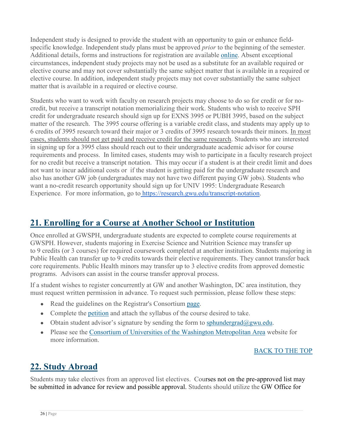Independent study is designed to provide the student with an opportunity to gain or enhance fieldspecific knowledge. Independent study plans must be approved *prior* to the beginning of the semester. Additional details, forms and instructions for registration are available [online.](about:blank) Absent exceptional circumstances, independent study projects may not be used as a substitute for an available required or elective course and may not cover substantially the same subject matter that is available in a required or elective course. In addition, independent study projects may not cover substantially the same subject matter that is available in a required or elective course.

Students who want to work with faculty on research projects may choose to do so for credit or for nocredit, but receive a transcript notation memorializing their work. Students who wish to receive SPH credit for undergraduate research should sign up for EXNS 3995 or PUBH 3995, based on the subject matter of the research. The 3995 course offering is a variable credit class, and students may apply up to 6 credits of 3995 research toward their major or 3 credits of 3995 research towards their minors. In most cases, students should not get paid and receive credit for the same research. Students who are interested in signing up for a 3995 class should reach out to their undergraduate academic advisor for course requirements and process. In limited cases, students may wish to participate in a faculty research project for no credit but receive a transcript notation. This may occur if a student is at their credit limit and does not want to incur additional costs or if the student is getting paid for the undergraduate research and also has another GW job (undergraduates may not have two different paying GW jobs). Students who want a no-credit research opportunity should sign up for UNIV 1995: Undergraduate Research Experience. For more information, go to [https://research.gwu.edu/transcript-notation.](https://research.gwu.edu/transcript-notation)

## <span id="page-26-0"></span>**21. Enrolling for a Course at Another School or Institution**

Once enrolled at GWSPH, undergraduate students are expected to complete course requirements at GWSPH. However, students majoring in Exercise Science and Nutrition Science may transfer up to 9 credits (or 3 courses) for required coursework completed at another institution. Students majoring in Public Health can transfer up to 9 credits towards their elective requirements. They cannot transfer back core requirements. Public Health minors may transfer up to 3 elective credits from approved domestic programs. Advisors can assist in the course transfer approval process.

If a student wishes to register concurrently at GW and another Washington, DC area institution, they must request written permission in advance. To request such permission, please follow these steps:

- Read the guidelines on the Registrar's Consortium [page.](https://registrar.gwu.edu/consortium)
- Complete the [petition](https://registrar.gwu.edu/sites/g/files/zaxdzs2171/f/downloads/consortium-form.pdf) and attach the syllabus of the course desired to take.
- Obtain student advisor's signature by sending the form to [sphundergrad@gwu.edu.](https://registrar.gwu.edu/sites/g/files/zaxdzs2171/f/downloads/consortium-form.pdf)
- Please see the [Consortium of Universities of the Washington Metropolitan Area](http://www.consortium.org/) website for more information.

#### BACK TO THE TOP

# <span id="page-26-1"></span>**22. Study Abroad**

Students may take electives from an approved list electives. Courses not on the pre-approved list may be submitted in advance for review and possible approval. Students should utilize the GW Office for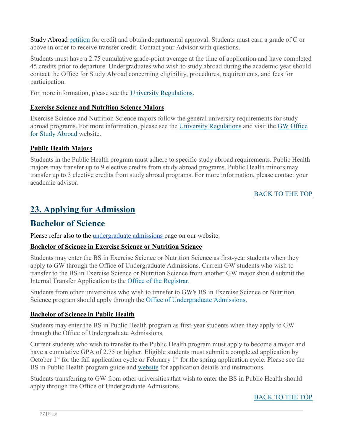Study Abroad [petition](https://studyabroad.gwu.edu/transferring-credit) for credit and obtain departmental approval. Students must earn a grade of C or above in order to receive transfer credit. Contact your Advisor with questions.

Students must have a 2.75 cumulative grade-point average at the time of application and have completed 45 credits prior to departure. Undergraduates who wish to study abroad during the academic year should contact the Office for Study Abroad concerning eligibility, procedures, requirements, and fees for participation.

For more information, please see the [University Regulations.](http://bulletin.gwu.edu/university-regulations/#Abroad)

#### **Exercise Science and Nutrition Science Majors**

Exercise Science and Nutrition Science majors follow the general university requirements for study abroad programs. For more information, please see the [University Regulations](http://bulletin.gwu.edu/university-regulations/#Abroad) and visit the [GW Office](https://studyabroad.gwu.edu/)  [for Study Abroad](https://studyabroad.gwu.edu/) website.

#### **Public Health Majors**

Students in the Public Health program must adhere to specific study abroad requirements. Public Health majors may transfer up to 9 elective credits from study abroad programs. Public Health minors may transfer up to 3 elective credits from study abroad programs. For more information, please contact your academic advisor.

#### BACK TO THE TOP

### <span id="page-27-0"></span>**23. Applying for Admission**

### **Bachelor of Science**

Please refer also to the [undergraduate admissions](https://publichealth.gwu.edu/admissions/undergraduate-admissions) page on our website.

#### **Bachelor of Science in Exercise Science or Nutrition Science**

Students may enter the BS in Exercise Science or Nutrition Science as first-year students when they apply to GW through the Office of Undergraduate Admissions. Current GW students who wish to transfer to the BS in Exercise Science or Nutrition Science from another GW major should submit the Internal Transfer Application to the [Office of the Registrar.](https://registrar.gwu.edu/)

Students from other universities who wish to transfer to GW's BS in Exercise Science or Nutrition Science program should apply through the [Office of Undergraduate Admissions.](https://undergraduate.admissions.gwu.edu/)

#### **Bachelor of Science in Public Health**

Students may enter the BS in Public Health program as first-year students when they apply to GW through the Office of Undergraduate Admissions.

Current students who wish to transfer to the Public Health program must apply to become a major and have a cumulative GPA of 2.75 or higher. Eligible students must submit a completed application by October 1<sup>st</sup> for the fall application cycle or February 1<sup>st</sup> for the spring application cycle. Please see the BS in Public Health program guide and [website](https://publichealth.gwu.edu/programs/public-health-bs) for application details and instructions.

Students transferring to GW from other universities that wish to enter the BS in Public Health should apply through the Office of Undergraduate Admissions.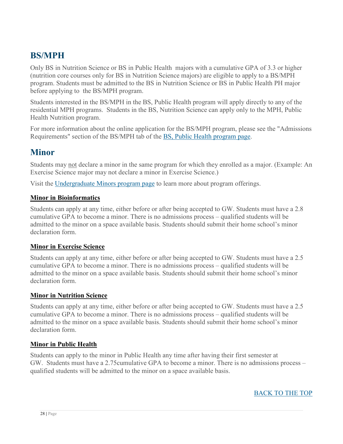### **BS/MPH**

Only BS in Nutrition Science or BS in Public Health majors with a cumulative GPA of 3.3 or higher (nutrition core courses only for BS in Nutrition Science majors) are eligible to apply to a BS/MPH program. Students must be admitted to the BS in Nutrition Science or BS in Public Health PH major before applying to the BS/MPH program.

Students interested in the BS/MPH in the BS, Public Health program will apply directly to any of the residential MPH programs. Students in the BS, Nutrition Science can apply only to the MPH, Public Health Nutrition program.

For more information about the online application for the BS/MPH program, please see the "Admissions Requirements" section of the BS/MPH tab of the [BS, Public Health program page.](https://publichealth.gwu.edu/programs/public-health-bs)

### **Minor**

Students may not declare a minor in the same program for which they enrolled as a major. (Example: An Exercise Science major may not declare a minor in Exercise Science.)

Visit the [Undergraduate Minors program page](https://publichealth.gwu.edu/programs/undergraduate-minors) to learn more about program offerings.

#### **Minor in Bioinformatics**

Students can apply at any time, either before or after being accepted to GW. Students must have a 2.8 cumulative GPA to become a minor. There is no admissions process – qualified students will be admitted to the minor on a space available basis. Students should submit their home school's minor declaration form.

#### **Minor in Exercise Science**

Students can apply at any time, either before or after being accepted to GW. Students must have a 2.5 cumulative GPA to become a minor. There is no admissions process – qualified students will be admitted to the minor on a space available basis. Students should submit their home school's minor declaration form.

#### **Minor in Nutrition Science**

Students can apply at any time, either before or after being accepted to GW. Students must have a 2.5 cumulative GPA to become a minor. There is no admissions process – qualified students will be admitted to the minor on a space available basis. Students should submit their home school's minor declaration form.

#### **Minor in Public Health**

Students can apply to the minor in Public Health any time after having their first semester at GW. Students must have a 2.75cumulative GPA to become a minor. There is no admissions process – qualified students will be admitted to the minor on a space available basis.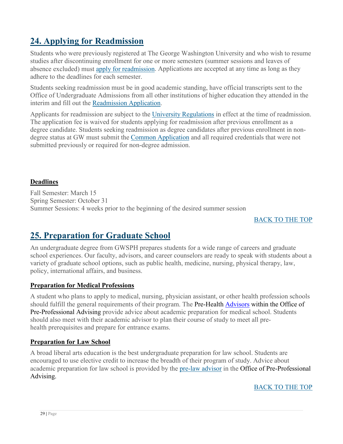# <span id="page-29-0"></span>**24. Applying for Readmission**

Students who were previously registered at The George Washington University and who wish to resume studies after discontinuing enrollment for one or more semesters (summer sessions and leaves of absence excluded) must [apply for readmission.](https://gwadmissions.secure.force.com/tgtx/targetx_eventsb__formpage?formid=217782) Applications are accepted at any time as long as they adhere to the deadlines for each semester.

Students seeking readmission must be in good academic standing, have official transcripts sent to the Office of Undergraduate Admissions from all other institutions of higher education they attended in the interim and fill out the [Readmission Application.](https://gwadmissions.secure.force.com/tgtx/targetx_eventsb__formpage?formid=217782)

Applicants for readmission are subject to the [University Regulations](http://bulletin.gwu.edu/university-regulations) in effect at the time of readmission. The application fee is waived for students applying for readmission after previous enrollment as a degree candidate. Students seeking readmission as degree candidates after previous enrollment in nondegree status at GW must submit the [Common Application](https://www.commonapp.org/school/george-washington-university) and all required credentials that were not submitted previously or required for non-degree admission.

#### **Deadlines**

Fall Semester: March 15 Spring Semester: October 31 Summer Sessions: 4 weeks prior to the beginning of the desired summer session

#### BACK TO THE TOP

### <span id="page-29-1"></span>**25. Preparation for Graduate School**

An undergraduate degree from GWSPH prepares students for a wide range of careers and graduate school experiences. Our faculty, advisors, and career counselors are ready to speak with students about a variety of graduate school options, such as public health, medicine, nursing, physical therapy, law, policy, international affairs, and business.

#### **Preparation for Medical Professions**

A student who plans to apply to medical, nursing, physician assistant, or other health profession schools should fulfill the general requirements of their program. The Pre-Health [Advisors](https://prehealth.gwu.edu/) within the Office of Pre-Professional Advising provide advice about academic preparation for medical school. Students should also meet with their academic advisor to plan their course of study to meet all prehealth prerequisites and prepare for entrance exams.

#### **Preparation for Law School**

A broad liberal arts education is the best undergraduate preparation for law school. Students are encouraged to use elective credit to increase the breadth of their program of study. Advice about academic preparation for law school is provided by the [pre-law advisor](https://prelaw.gwu.edu/) in the Office of Pre-Professional Advising.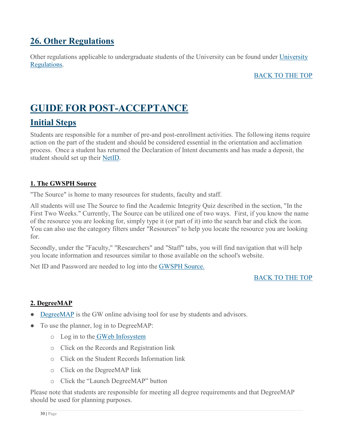## <span id="page-30-0"></span>**26. Other Regulations**

Other regulations applicable to undergraduate students of the University can be found under [University](http://bulletin.gwu.edu/university-regulations/)  [Regulations.](http://bulletin.gwu.edu/university-regulations/)

#### BACK TO THE TOP

# <span id="page-30-1"></span>**GUIDE FOR POST-ACCEPTANCE**

### <span id="page-30-2"></span>**Initial Steps**

Students are responsible for a number of pre-and post-enrollment activities. The following items require action on the part of the student and should be considered essential in the orientation and acclimation process. Once a student has returned the Declaration of Intent documents and has made a deposit, the student should set up their [NetID.](http://gwid.gwu.edu/)

#### <span id="page-30-3"></span>**1. The GWSPH Source**

"The Source" is home to many resources for students, faculty and staff.

All students will use The Source to find the Academic Integrity Quiz described in the section, "In the First Two Weeks." Currently, The Source can be utilized one of two ways. First, if you know the name of the resource you are looking for, simply type it (or part of it) into the search bar and click the icon. You can also use the category filters under "Resources" to help you locate the resource you are looking for.

Secondly, under the "Faculty," "Researchers" and "Staff" tabs, you will find navigation that will help you locate information and resources similar to those available on the school's website.

Net ID and Password are needed to log into the [GWSPH Source.](http://publichealth.gwu.edu/content/gwsph-source)

#### BACK TO THE TOP

#### **2. DegreeMAP**

- **[DegreeMAP](https://registrar.gwu.edu/degreemap)** is the GW online advising tool for use by students and advisors.
- To use the planner, log in to DegreeMAP:
	- o Log in to the [GWeb Infosystem](https://banweb.gwu.edu/)
	- o Click on the Records and Registration link
	- o Click on the Student Records Information link
	- o Click on the DegreeMAP link
	- o Click the "Launch DegreeMAP" button

Please note that students are responsible for meeting all degree requirements and that DegreeMAP should be used for planning purposes.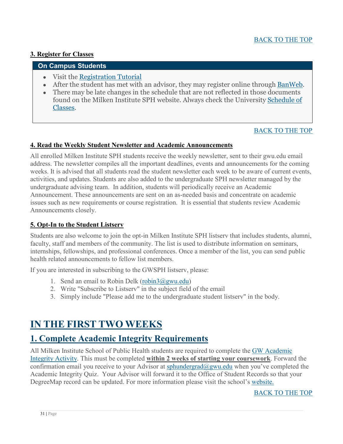#### <span id="page-31-0"></span>**3. Register for Classes**

#### **On Campus Students**

- Visit the [Registration Tutorial](http://publichealth.gwu.edu/academics/courses/registration-steps)
- After the student has met with an advisor, they may register online through [BanWeb.](https://banweb.gwu.edu/PRODCartridge/twbkwbis.P_WWWLogin)
- There may be late changes in the schedule that are not reflected in those documents found on the Milken Institute SPH website. Always check the University [Schedule of](http://www.gwu.edu/%7Eschedule/)  [Classes.](http://www.gwu.edu/%7Eschedule/)

#### [BACK TO THE TOP](https://publichealth.gwu.edu/content/undergraduate-student-handbook#_BACK_)

#### <span id="page-31-1"></span>**4. Read the Weekly Student Newsletter and Academic Announcements**

All enrolled Milken Institute SPH students receive the weekly newsletter, sent to their gwu.edu email address. The newsletter compiles all the important deadlines, events and announcements for the coming weeks. It is advised that all students read the student newsletter each week to be aware of current events, activities, and updates. Students are also added to the undergraduate SPH newsletter managed by the undergraduate advising team. In addition, students will periodically receive an Academic Announcement. These announcements are sent on an as-needed basis and concentrate on academic issues such as new requirements or course registration. It is essential that students review Academic Announcements closely.

#### <span id="page-31-2"></span>**5. Opt-In to the Student Listserv**

Students are also welcome to join the opt-in Milken Institute SPH listserv that includes students, alumni, faculty, staff and members of the community. The list is used to distribute information on seminars, internships, fellowships, and professional conferences. Once a member of the list, you can send public health related announcements to fellow list members.

If you are interested in subscribing to the GWSPH listserv, please:

- 1. Send an email to Robin Delk (robin $3@g$ wu.edu)
- 2. Write "Subscribe to Listserv" in the subject field of the email
- 3. Simply include "Please add me to the undergraduate student listserv" in the body.

# <span id="page-31-3"></span>**IN THE FIRST TWO WEEKS**

### <span id="page-31-4"></span>**1. Complete Academic Integrity Requirements**

All Milken Institute School of Public Health students are required to complete the [GW Academic](http://publichealth.gwu.edu/integrity#GW%20Integrity)  [Integrity Activity.](http://publichealth.gwu.edu/integrity#GW%20Integrity) This must be completed **within 2 weeks of starting your coursework**. Forward the confirmation email you receive to your Advisor at [sphundergrad@gwu.edu](mailto:sphundergrad@gwu.edu) when you've completed the Academic Integrity Quiz. Your Advisor will forward it to the Office of Student Records so that your DegreeMap record can be updated. For more information please visit the school's [website.](http://publichealth.gwu.edu/integrity)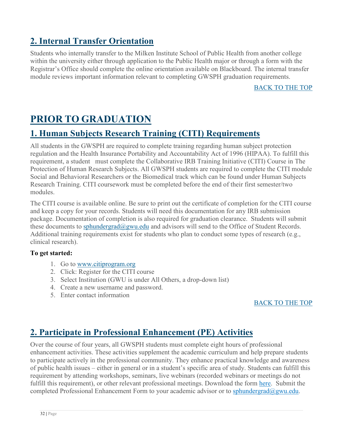# <span id="page-32-0"></span>**2. Internal Transfer Orientation**

Students who internally transfer to the Milken Institute School of Public Health from another college within the university either through application to the Public Health major or through a form with the Registrar's Office should complete the online orientation available on Blackboard. The internal transfer module reviews important information relevant to completing GWSPH graduation requirements.

BACK TO THE TOP

# <span id="page-32-1"></span>**PRIOR TO GRADUATION**

### <span id="page-32-2"></span>**1. Human Subjects Research Training (CITI) Requirements**

All students in the GWSPH are required to complete training regarding human subject protection regulation and the Health Insurance Portability and Accountability Act of 1996 (HIPAA). To fulfill this requirement, a student must complete the Collaborative IRB Training Initiative (CITI) Course in The Protection of Human Research Subjects. All GWSPH students are required to complete the CITI module Social and Behavioral Researchers or the Biomedical track which can be found under Human Subjects Research Training. CITI coursework must be completed before the end of their first semester/two modules.

The CITI course is available online. Be sure to print out the certificate of completion for the CITI course and keep a copy for your records. Students will need this documentation for any IRB submission package. Documentation of completion is also required for graduation clearance. Students will submit these documents to [sphundergrad@gwu.edu](mailto:sphundergrad@gwu.edu) and advisors will send to the Office of Student Records. Additional training requirements exist for students who plan to conduct some types of research (e.g., clinical research).

#### **To get started:**

- 1. Go to [www.citiprogram.org](http://www.citiprogram.org/)
- 2. Click: Register for the CITI course
- 3. Select Institution (GWU is under All Others, a drop-down list)
- 4. Create a new username and password.
- 5. Enter contact information

#### BACK TO THE TOP

### <span id="page-32-3"></span>**2. Participate in Professional Enhancement (PE) Activities**

Over the course of four years, all GWSPH students must complete eight hours of professional enhancement activities. These activities supplement the academic curriculum and help prepare students to participate actively in the professional community. They enhance practical knowledge and awareness of public health issues – either in general or in a student's specific area of study. Students can fulfill this requirement by attending workshops, seminars, live webinars (recorded webinars or meetings do not fulfill this requirement), or other relevant professional meetings. Download the form [here.](https://publichealth.gwu.edu/sites/default/files/downloads/Professional%20Enhancement%20Policy%20Form%20122018.pdf) Submit the completed Professional Enhancement Form to your academic advisor or to [sphundergrad@gwu.edu.](mailto:sphundergrad@gwu.edu)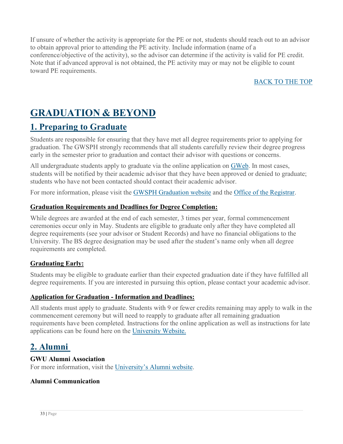If unsure of whether the activity is appropriate for the PE or not, students should reach out to an advisor to obtain approval prior to attending the PE activity. Include information (name of a conference/objective of the activity), so the advisor can determine if the activity is valid for PE credit. Note that if advanced approval is not obtained, the PE activity may or may not be eligible to count toward PE requirements.

#### BACK TO THE TOP

# <span id="page-33-0"></span>**GRADUATION & BEYOND**

### <span id="page-33-1"></span>**1. Preparing to Graduate**

Students are responsible for ensuring that they have met all degree requirements prior to applying for graduation. The GWSPH strongly recommends that all students carefully review their degree progress early in the semester prior to graduation and contact their advisor with questions or concerns.

All undergraduate students apply to graduate via the online application on [GWeb.](https://banweb.gwu.edu/PRODCartridge/twbkwbis.P_WWWLogin) In most cases, students will be notified by their academic advisor that they have been approved or denied to graduate; students who have not been contacted should contact their academic advisor.

For more information, please visit the [GWSPH Graduation website](http://publichealth.gwu.edu/academics/graduation) and the [Office of the Registrar.](https://registrar.gwu.edu/online-graduation-application-instructions)

#### **Graduation Requirements and Deadlines for Degree Completion:**

While degrees are awarded at the end of each semester, 3 times per year, formal commencement ceremonies occur only in May. Students are eligible to graduate only after they have completed all degree requirements (see your advisor or Student Records) and have no financial obligations to the University. The BS degree designation may be used after the student's name only when all degree requirements are completed.

#### **Graduating Early:**

Students may be eligible to graduate earlier than their expected graduation date if they have fulfilled all degree requirements. If you are interested in pursuing this option, please contact your academic advisor.

#### **Application for Graduation - Information and Deadlines:**

All students must apply to graduate. Students with 9 or fewer credits remaining may apply to walk in the commencement ceremony but will need to reapply to graduate after all remaining graduation requirements have been completed. Instructions for the online application as well as instructions for late applications can be found here on the [University Website.](http://registrar.gwu.edu/graduation)

### **2. Alumni**

#### **GWU Alumni Association**

For more information, visit the [University's Alumni website.](http://alumni.gwu.edu/gw-alumni-association)

#### <span id="page-33-2"></span>**Alumni Communication**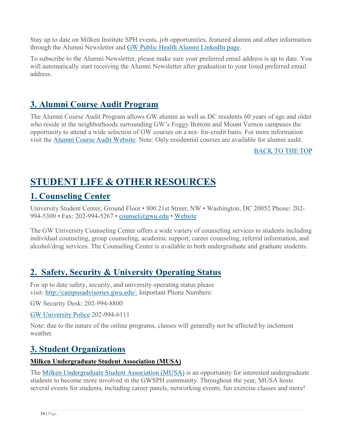Stay up to date on Milken Institute SPH events, job opportunities, featured alumni and other information through the Alumni Newsletter and [GW Public Health Alumni LinkedIn page.](https://www.linkedin.com/groups/4096989/profile)

To subscribe to the Alumni Newsletter, please make sure your preferred email address is up to date. You will automatically start receiving the Alumni Newsletter after graduation to your listed preferred email address.

## <span id="page-34-0"></span>**3. Alumni Course Audit Program**

The Alumni Course Audit Program allows GW alumni as well as DC residents 60 years of age and older who reside in the neighborhoods surrounding GW's Foggy Bottom and Mount Vernon campuses the opportunity to attend a wide selection of GW courses on a not- for-credit basis. For more information visit the [Alumni Course Audit Website.](https://alumni.gwu.edu/alumni-course-audit-program) Note: Only residential courses are available for alumni audit.

#### BACK TO THE TOP

# <span id="page-34-1"></span>**STUDENT LIFE & OTHER RESOURCES**

### <span id="page-34-2"></span>**1. Counseling Center**

University Student Center, Ground Floor • 800 21st Street, NW • Washington, DC 20052 Phone: 202- 994-5300 • Fax: 202-994-5267 • [counsel@gwu.edu](mailto:counsel@gwu.edu) • [Website](http://counselingcenter.gwu.edu/)

The GW University Counseling Center offers a wide variety of counseling services to students including individual counseling, group counseling, academic support, career counseling, referral information, and alcohol/drug services. The Counseling Center is available to both undergraduate and graduate students.

### <span id="page-34-3"></span>**2. Safety, Security & University Operating Status**

For up to date safety, security, and university operating status please visit: [http://campusadvisories.gwu.edu/.](http://campusadvisories.gwu.edu/) Important Phone Numbers:

GW Security Desk: 202-994-8800

[GW University Police](http://police.gwu.edu/) 202-994-6111

Note: due to the nature of the online programs, classes will generally not be affected by inclement weather.

### <span id="page-34-4"></span>**3. Student Organizations**

#### **Milken Undergraduate Student Association (MUSA)**

The [Milken Undergraduate Student Association \(MUSA\)](https://www.facebook.com/Milken-Undergraduate-Student-Association-MUSA-1766668506922803/) is an opportunity for interested undergraduate students to become more involved in the GWSPH community. Throughout the year, MUSA hosts several events for students, including career panels, networking events, fun exercise classes and more!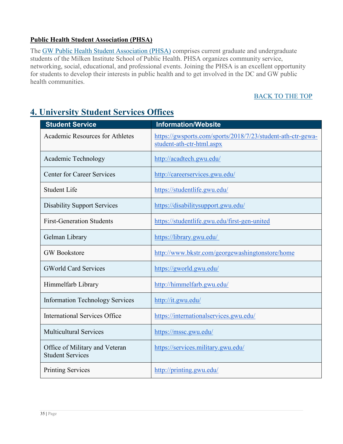#### **Public Health Student Association (PHSA)**

The [GW Public Health Student Association \(PHSA\)](https://www.facebook.com/pg/GWPHSA/about/?ref=page_internal) comprises current graduate and undergraduate students of the Milken Institute School of Public Health. PHSA organizes community service, networking, social, educational, and professional events. Joining the PHSA is an excellent opportunity for students to develop their interests in public health and to get involved in the DC and GW public health communities.

#### BACK TO THE TOP

# **Student Service Information/Website** Academic Resources for Athletes [https://gwsports.com/sports/2018/7/23/student-ath-ctr-gewa](https://gwsports.com/sports/2018/7/23/student-ath-ctr-gewa-student-ath-ctr-html.aspx)[student-ath-ctr-html.aspx](https://gwsports.com/sports/2018/7/23/student-ath-ctr-gewa-student-ath-ctr-html.aspx) Academic Technology <http://acadtech.gwu.edu/> Center for Career Services <http://careerservices.gwu.edu/> Student Life https://studentlife.gwu.edu/ Disability Support Services <https://disabilitysupport.gwu.edu/> First-Generation Students https://studentlife.gwu.edu/first-gen-united Gelman Library <https://library.gwu.edu/> GW Bookstore <http://www.bkstr.com/georgewashingtonstore/home> GWorld Card Services <https://gworld.gwu.edu/> Himmelfarb Library <http://himmelfarb.gwu.edu/> Information Technology Services <http://it.gwu.edu/> International Services Office <https://internationalservices.gwu.edu/> Multicultural Services https://mssc.gwu.edu/ Office of Military and Veteran Student Services <https://services.military.gwu.edu/> Printing Services <http://printing.gwu.edu/>

# **4. University Student Services Offices**